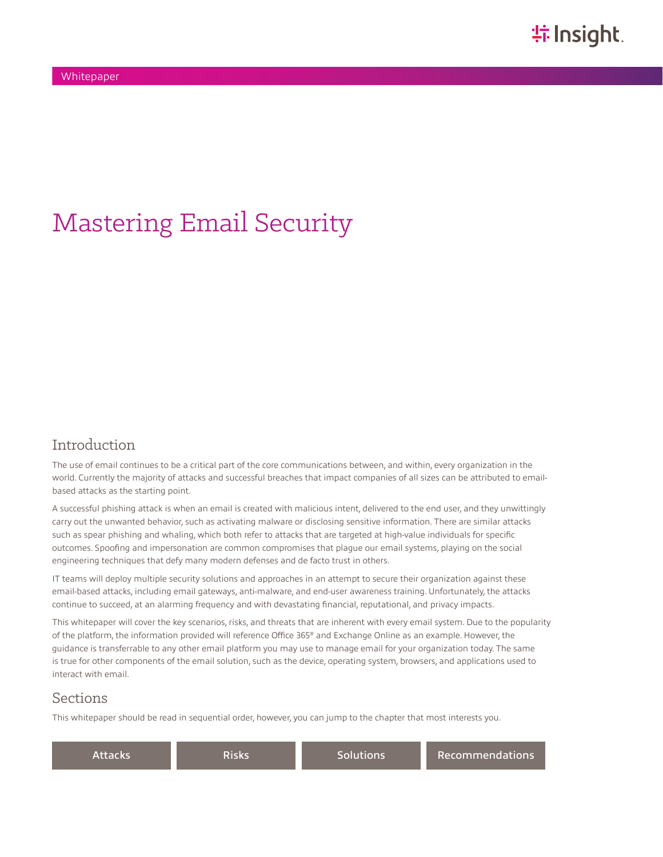# Mastering Email Security

### Introduction

The use of email continues to be a critical part of the core communications between, and within, every organization in the world. Currently the majority of attacks and successful breaches that impact companies of all sizes can be attributed to emailbased attacks as the starting point.

A successful phishing attack is when an email is created with malicious intent, delivered to the end user, and they unwittingly carry out the unwanted behavior, such as activating malware or disclosing sensitive information. There are similar attacks such as spear phishing and whaling, which both refer to attacks that are targeted at high-value individuals for specific outcomes. Spoofing and impersonation are common compromises that plague our email systems, playing on the social engineering techniques that defy many modern defenses and de facto trust in others.

IT teams will deploy multiple security solutions and approaches in an attempt to secure their organization against these email-based attacks, including email gateways, anti-malware, and end-user awareness training. Unfortunately, the attacks continue to succeed, at an alarming frequency and with devastating financial, reputational, and privacy impacts.

This whitepaper will cover the key scenarios, risks, and threats that are inherent with every email system. Due to the popularity of the platform, the information provided will reference Office 365® and Exchange Online as an example. However, the guidance is transferrable to any other email platform you may use to manage email for your organization today. The same is true for other components of the email solution, such as the device, operating system, browsers, and applications used to interact with email.

### Sections

This whitepaper should be read in sequential order, however, you can jump to the chapter that most interests you.

| Attacks | Risks | Solutions | <b>Recommendations</b> |
|---------|-------|-----------|------------------------|
|---------|-------|-----------|------------------------|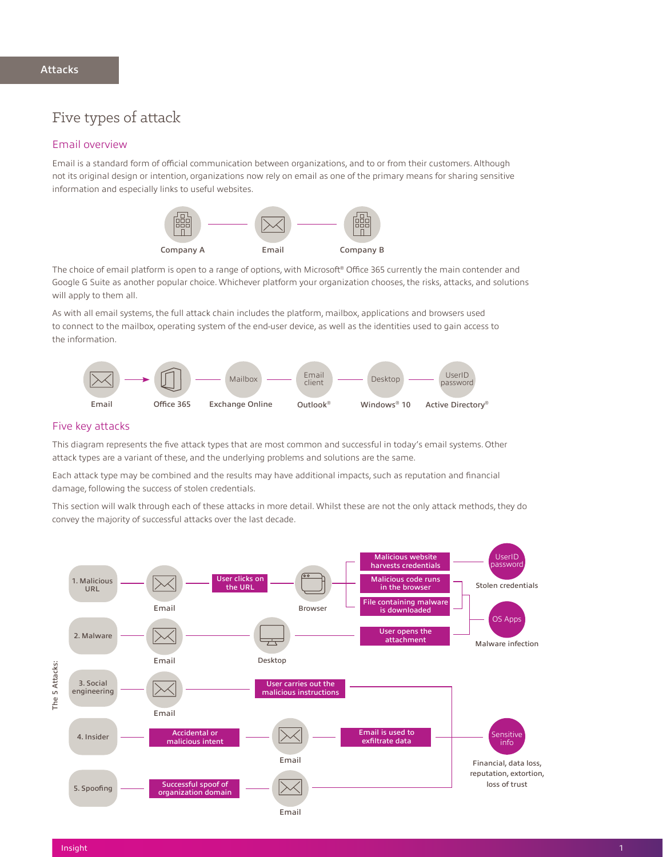### <span id="page-1-0"></span>Five types of attack

#### Email overview

Email is a standard form of official communication between organizations, and to or from their customers. Although not its original design or intention, organizations now rely on email as one of the primary means for sharing sensitive information and especially links to useful websites.



The choice of email platform is open to a range of options, with Microsoft® Office 365 currently the main contender and Google G Suite as another popular choice. Whichever platform your organization chooses, the risks, attacks, and solutions will apply to them all.

As with all email systems, the full attack chain includes the platform, mailbox, applications and browsers used to connect to the mailbox, operating system of the end-user device, as well as the identities used to gain access to the information.



#### Five key attacks

This diagram represents the five attack types that are most common and successful in today's email systems. Other attack types are a variant of these, and the underlying problems and solutions are the same.

Each attack type may be combined and the results may have additional impacts, such as reputation and financial damage, following the success of stolen credentials.

This section will walk through each of these attacks in more detail. Whilst these are not the only attack methods, they do convey the majority of successful attacks over the last decade.

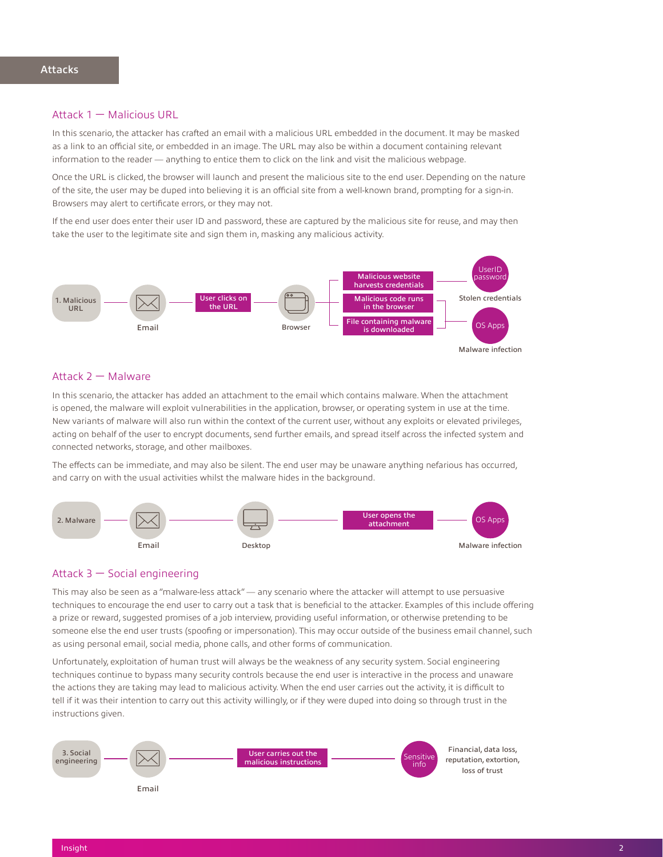#### Attack 1 — Malicious URL

In this scenario, the attacker has crafted an email with a malicious URL embedded in the document. It may be masked as a link to an official site, or embedded in an image. The URL may also be within a document containing relevant information to the reader — anything to entice them to click on the link and visit the malicious webpage.

Once the URL is clicked, the browser will launch and present the malicious site to the end user. Depending on the nature of the site, the user may be duped into believing it is an official site from a well-known brand, prompting for a sign-in. Browsers may alert to certificate errors, or they may not.

If the end user does enter their user ID and password, these are captured by the malicious site for reuse, and may then take the user to the legitimate site and sign them in, masking any malicious activity.



#### Attack 2 — Malware

In this scenario, the attacker has added an attachment to the email which contains malware. When the attachment is opened, the malware will exploit vulnerabilities in the application, browser, or operating system in use at the time. New variants of malware will also run within the context of the current user, without any exploits or elevated privileges, acting on behalf of the user to encrypt documents, send further emails, and spread itself across the infected system and connected networks, storage, and other mailboxes.

The effects can be immediate, and may also be silent. The end user may be unaware anything nefarious has occurred, and carry on with the usual activities whilst the malware hides in the background.



#### Attack 3 — Social engineering

This may also be seen as a "malware-less attack" — any scenario where the attacker will attempt to use persuasive techniques to encourage the end user to carry out a task that is beneficial to the attacker. Examples of this include offering a prize or reward, suggested promises of a job interview, providing useful information, or otherwise pretending to be someone else the end user trusts (spoofing or impersonation). This may occur outside of the business email channel, such as using personal email, social media, phone calls, and other forms of communication.

Unfortunately, exploitation of human trust will always be the weakness of any security system. Social engineering techniques continue to bypass many security controls because the end user is interactive in the process and unaware the actions they are taking may lead to malicious activity. When the end user carries out the activity, it is difficult to tell if it was their intention to carry out this activity willingly, or if they were duped into doing so through trust in the instructions given.

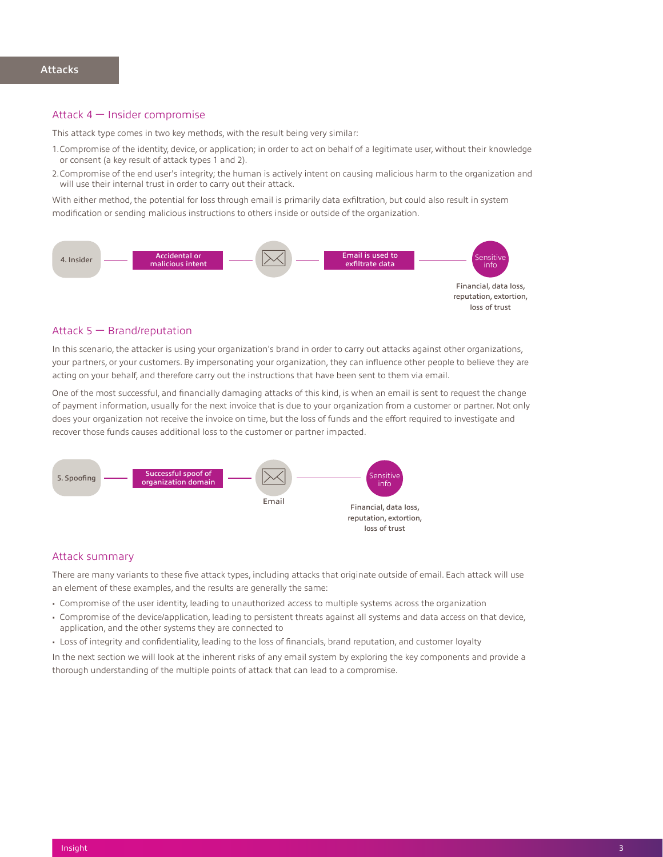#### Attack 4 — Insider compromise

This attack type comes in two key methods, with the result being very similar:

- 1.Compromise of the identity, device, or application; in order to act on behalf of a legitimate user, without their knowledge or consent (a key result of attack types 1 and 2).
- 2.Compromise of the end user's integrity; the human is actively intent on causing malicious harm to the organization and will use their internal trust in order to carry out their attack.

With either method, the potential for loss through email is primarily data exfiltration, but could also result in system modification or sending malicious instructions to others inside or outside of the organization.



#### Attack 5 — Brand/reputation

In this scenario, the attacker is using your organization's brand in order to carry out attacks against other organizations, your partners, or your customers. By impersonating your organization, they can influence other people to believe they are acting on your behalf, and therefore carry out the instructions that have been sent to them via email.

One of the most successful, and financially damaging attacks of this kind, is when an email is sent to request the change of payment information, usually for the next invoice that is due to your organization from a customer or partner. Not only does your organization not receive the invoice on time, but the loss of funds and the effort required to investigate and recover those funds causes additional loss to the customer or partner impacted.



#### Attack summary

There are many variants to these five attack types, including attacks that originate outside of email. Each attack will use an element of these examples, and the results are generally the same:

- Compromise of the user identity, leading to unauthorized access to multiple systems across the organization
- Compromise of the device/application, leading to persistent threats against all systems and data access on that device, application, and the other systems they are connected to
- Loss of integrity and confidentiality, leading to the loss of financials, brand reputation, and customer loyalty

In the next section we will look at the inherent risks of any email system by exploring the key components and provide a thorough understanding of the multiple points of attack that can lead to a compromise.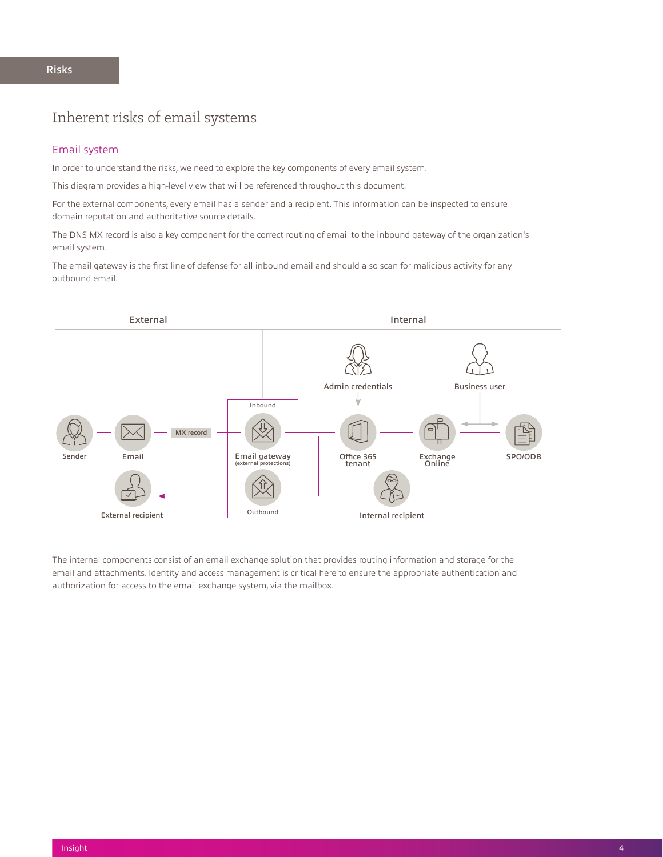### Inherent risks of email systems

#### Email system

In order to understand the risks, we need to explore the key components of every email system.

This diagram provides a high-level view that will be referenced throughout this document.

For the external components, every email has a sender and a recipient. This information can be inspected to ensure domain reputation and authoritative source details.

The DNS MX record is also a key component for the correct routing of email to the inbound gateway of the organization's email system.

The email gateway is the first line of defense for all inbound email and should also scan for malicious activity for any outbound email.



The internal components consist of an email exchange solution that provides routing information and storage for the email and attachments. Identity and access management is critical here to ensure the appropriate authentication and authorization for access to the email exchange system, via the mailbox.

#### <span id="page-4-0"></span>Risks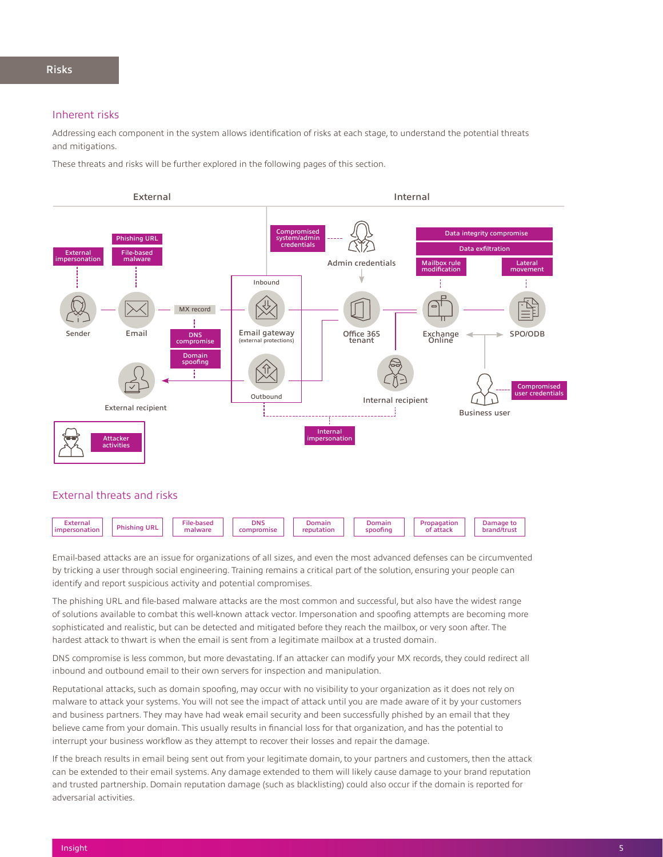#### Inherent risks

Addressing each component in the system allows identification of risks at each stage, to understand the potential threats and mitigations.

These threats and risks will be further explored in the following pages of this section.



Email-based attacks are an issue for organizations of all sizes, and even the most advanced defenses can be circumvented by tricking a user through social engineering. Training remains a critical part of the solution, ensuring your people can identify and report suspicious activity and potential compromises.

The phishing URL and file-based malware attacks are the most common and successful, but also have the widest range of solutions available to combat this well-known attack vector. Impersonation and spoofing attempts are becoming more sophisticated and realistic, but can be detected and mitigated before they reach the mailbox, or very soon after. The hardest attack to thwart is when the email is sent from a legitimate mailbox at a trusted domain.

DNS compromise is less common, but more devastating. If an attacker can modify your MX records, they could redirect all inbound and outbound email to their own servers for inspection and manipulation.

Reputational attacks, such as domain spoofing, may occur with no visibility to your organization as it does not rely on malware to attack your systems. You will not see the impact of attack until you are made aware of it by your customers and business partners. They may have had weak email security and been successfully phished by an email that they believe came from your domain. This usually results in financial loss for that organization, and has the potential to interrupt your business workflow as they attempt to recover their losses and repair the damage.

If the breach results in email being sent out from your legitimate domain, to your partners and customers, then the attack can be extended to their email systems. Any damage extended to them will likely cause damage to your brand reputation and trusted partnership. Domain reputation damage (such as blacklisting) could also occur if the domain is reported for adversarial activities.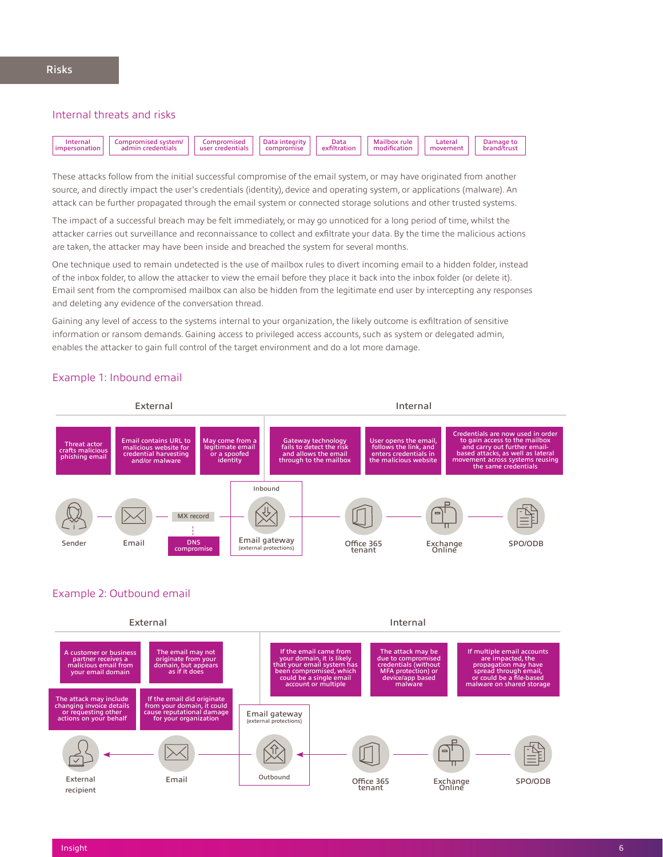### Internal threats and risks



These attacks follow from the initial successful compromise of the email system, or may have originated from another source, and directly impact the user's credentials (identity), device and operating system, or applications (malware). An attack can be further propagated through the email system or connected storage solutions and other trusted systems.

The impact of a successful breach may be felt immediately, or may go unnoticed for a long period of time, whilst the attacker carries out surveillance and reconnaissance to collect and exfiltrate your data. By the time the malicious actions are taken, the attacker may have been inside and breached the system for several months.

One technique used to remain undetected is the use of mailbox rules to divert incoming email to a hidden folder, instead of the inbox folder, to allow the attacker to view the email before they place it back into the inbox folder (or delete it). Email sent from the compromised mailbox can also be hidden from the legitimate end user by intercepting any responses and deleting any evidence of the conversation thread.

Gaining any level of access to the systems internal to your organization, the likely outcome is exfiltration of sensitive information or ransom demands. Gaining access to privileged access accounts, such as system or delegated admin, enables the attacker to gain full control of the target environment and do a lot more damage.

#### Example 1: Inbound email



#### Example 2: Outbound email

External Internal If the email came from your domain, it is likely that your email system has been compromised, which could be a single email account or multiple A customer or business partner receives a malicious email from your email domain The attack may include changing invoice details or requesting other on your behalf If the email did originate from your domain, it could cause reputational damage for your organization The email may not originate from your domain, but appears as if it does The attack may be due to compromised credentials (without **A** prote app ba malware If multiple email accounts are impacted, the propagation may have spread through email, or could be a file-based malware on shared storage Office 365 tenant Exchange Online SPO/ODB Email gateway (external protections) External Email **Email** Outbound recipient Email

#### Insight 6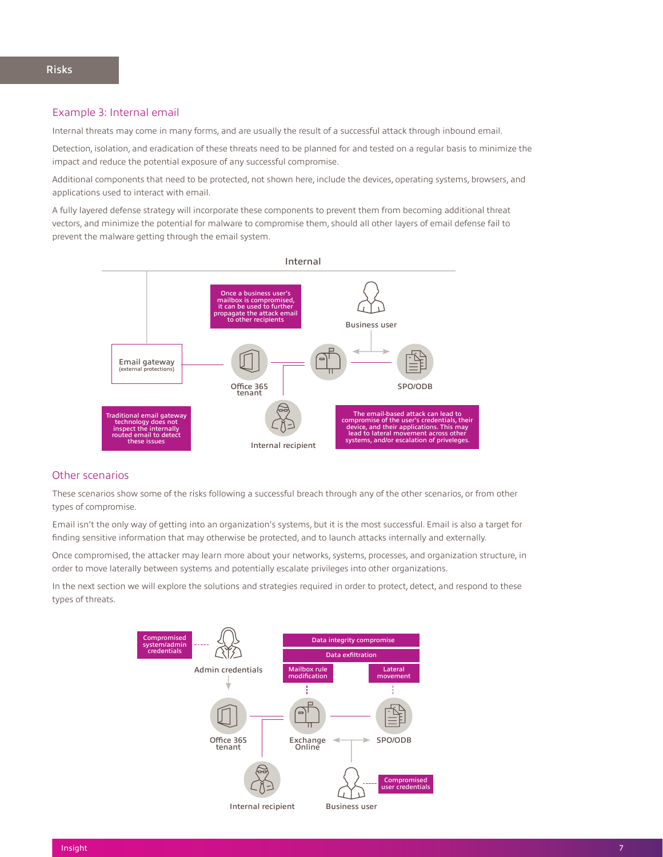#### Example 3: Internal email

Internal threats may come in many forms, and are usually the result of a successful attack through inbound email.

Detection, isolation, and eradication of these threats need to be planned for and tested on a regular basis to minimize the impact and reduce the potential exposure of any successful compromise.

Additional components that need to be protected, not shown here, include the devices, operating systems, browsers, and applications used to interact with email.

A fully layered defense strategy will incorporate these components to prevent them from becoming additional threat vectors, and minimize the potential for malware to compromise them, should all other layers of email defense fail to prevent the malware getting through the email system.



#### Other scenarios

These scenarios show some of the risks following a successful breach through any of the other scenarios, or from other types of compromise.

Email isn't the only way of getting into an organization's systems, but it is the most successful. Email is also a target for finding sensitive information that may otherwise be protected, and to launch attacks internally and externally.

Once compromised, the attacker may learn more about your networks, systems, processes, and organization structure, in order to move laterally between systems and potentially escalate privileges into other organizations.

In the next section we will explore the solutions and strategies required in order to protect, detect, and respond to these types of threats.

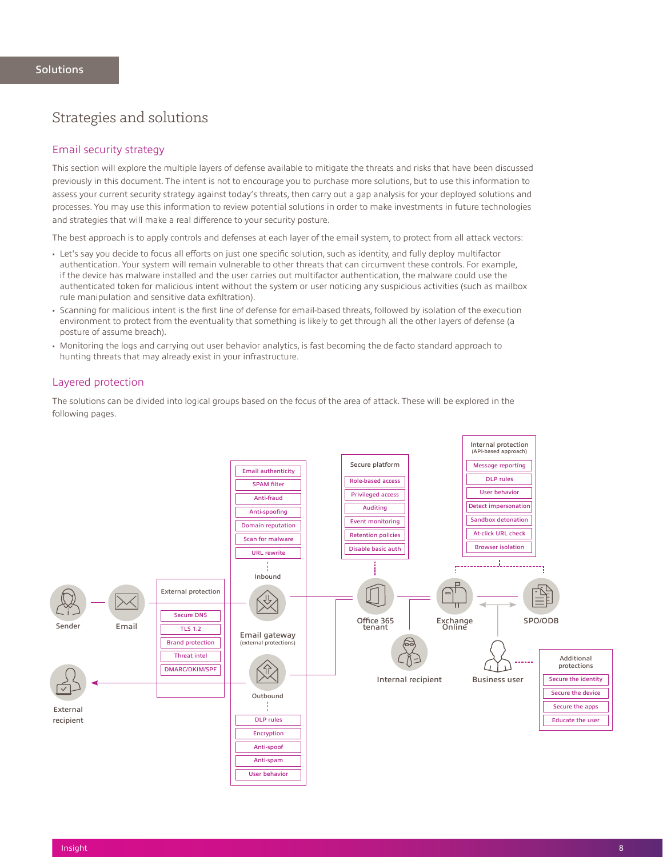### <span id="page-8-0"></span>Strategies and solutions

#### Email security strategy

This section will explore the multiple layers of defense available to mitigate the threats and risks that have been discussed previously in this document. The intent is not to encourage you to purchase more solutions, but to use this information to assess your current security strategy against today's threats, then carry out a gap analysis for your deployed solutions and processes. You may use this information to review potential solutions in order to make investments in future technologies and strategies that will make a real difference to your security posture.

The best approach is to apply controls and defenses at each layer of the email system, to protect from all attack vectors:

- Let's say you decide to focus all efforts on just one specific solution, such as identity, and fully deploy multifactor authentication. Your system will remain vulnerable to other threats that can circumvent these controls. For example, if the device has malware installed and the user carries out multifactor authentication, the malware could use the authenticated token for malicious intent without the system or user noticing any suspicious activities (such as mailbox rule manipulation and sensitive data exfiltration).
- Scanning for malicious intent is the first line of defense for email-based threats, followed by isolation of the execution environment to protect from the eventuality that something is likely to get through all the other layers of defense (a posture of assume breach).
- Monitoring the logs and carrying out user behavior analytics, is fast becoming the de facto standard approach to hunting threats that may already exist in your infrastructure.

#### Layered protection

The solutions can be divided into logical groups based on the focus of the area of attack. These will be explored in the following pages.

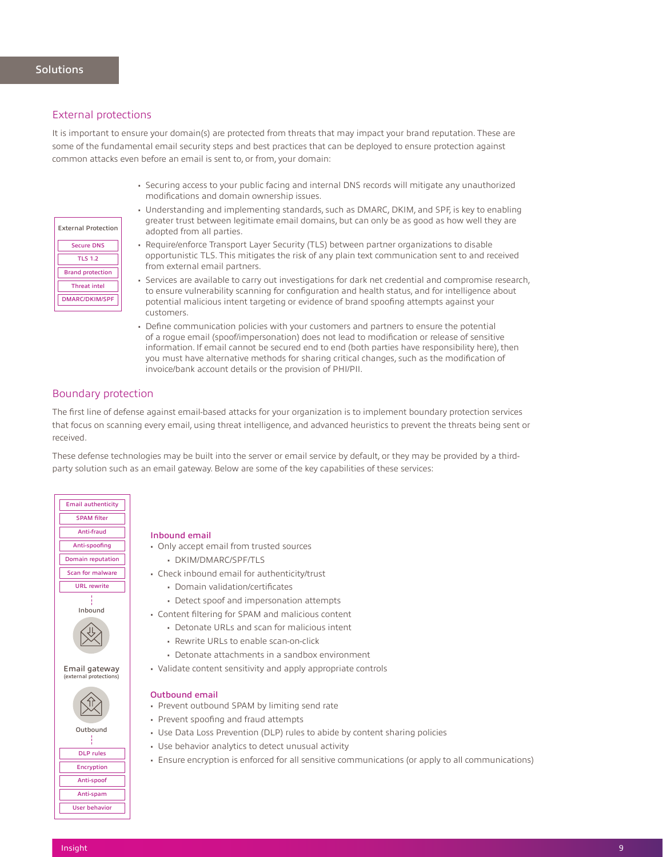#### External protections

External Protection Secure DNS TLS 1.2 Brand protection Threat intel DMARC/DKIM/SPF

It is important to ensure your domain(s) are protected from threats that may impact your brand reputation. These are some of the fundamental email security steps and best practices that can be deployed to ensure protection against common attacks even before an email is sent to, or from, your domain:

- Securing access to your public facing and internal DNS records will mitigate any unauthorized modifications and domain ownership issues.
- Understanding and implementing standards, such as DMARC, DKIM, and SPF, is key to enabling greater trust between legitimate email domains, but can only be as good as how well they are adopted from all parties.
- Require/enforce Transport Layer Security (TLS) between partner organizations to disable opportunistic TLS. This mitigates the risk of any plain text communication sent to and received from external email partners.
- Services are available to carry out investigations for dark net credential and compromise research, to ensure vulnerability scanning for configuration and health status, and for intelligence about potential malicious intent targeting or evidence of brand spoofing attempts against your customers.
- Define communication policies with your customers and partners to ensure the potential of a rogue email (spoof/impersonation) does not lead to modification or release of sensitive information. If email cannot be secured end to end (both parties have responsibility here), then you must have alternative methods for sharing critical changes, such as the modification of invoice/bank account details or the provision of PHI/PII.

#### Boundary protection

The first line of defense against email-based attacks for your organization is to implement boundary protection services that focus on scanning every email, using threat intelligence, and advanced heuristics to prevent the threats being sent or received.

These defense technologies may be built into the server or email service by default, or they may be provided by a thirdparty solution such as an email gateway. Below are some of the key capabilities of these services:



#### Inbound email

- Only accept email from trusted sources
	- DKIM/DMARC/SPF/TLS
- Check inbound email for authenticity/trust
	- Domain validation/certificates
	- Detect spoof and impersonation attempts
- Content filtering for SPAM and malicious content
	- Detonate URLs and scan for malicious intent
	- Rewrite URLs to enable scan-on-click
	- Detonate attachments in a sandbox environment
- Validate content sensitivity and apply appropriate controls

#### Outbound email

- Prevent outbound SPAM by limiting send rate
- Prevent spoofing and fraud attempts
- Use Data Loss Prevention (DLP) rules to abide by content sharing policies
- Use behavior analytics to detect unusual activity
- Ensure encryption is enforced for all sensitive communications (or apply to all communications)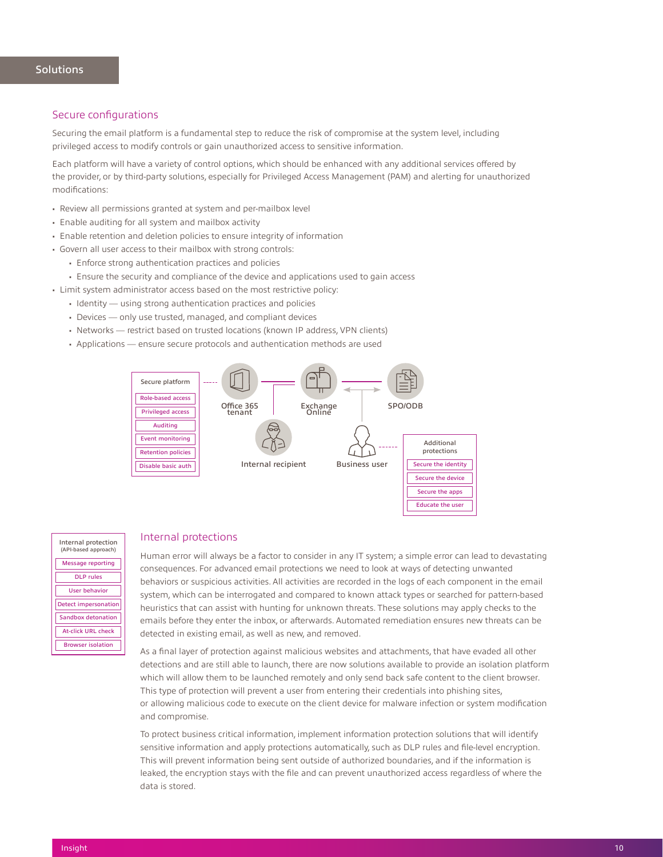#### Secure configurations

Securing the email platform is a fundamental step to reduce the risk of compromise at the system level, including privileged access to modify controls or gain unauthorized access to sensitive information.

Each platform will have a variety of control options, which should be enhanced with any additional services offered by the provider, or by third-party solutions, especially for Privileged Access Management (PAM) and alerting for unauthorized modifications:

- Review all permissions granted at system and per-mailbox level
- Enable auditing for all system and mailbox activity
- Enable retention and deletion policies to ensure integrity of information
- Govern all user access to their mailbox with strong controls:
	- Enforce strong authentication practices and policies
	- Ensure the security and compliance of the device and applications used to gain access
- Limit system administrator access based on the most restrictive policy:
	- Identity using strong authentication practices and policies
	- Devices only use trusted, managed, and compliant devices
	- Networks restrict based on trusted locations (known IP address, VPN clients)
	- Applications ensure secure protocols and authentication methods are used



#### Internal protection (API-based approach) Message reporting DLP rules User behavior Detect impersonation Sandbox detonation At-click URL check Browser isolation

#### Internal protections

Human error will always be a factor to consider in any IT system; a simple error can lead to devastating consequences. For advanced email protections we need to look at ways of detecting unwanted behaviors or suspicious activities. All activities are recorded in the logs of each component in the email system, which can be interrogated and compared to known attack types or searched for pattern-based heuristics that can assist with hunting for unknown threats. These solutions may apply checks to the emails before they enter the inbox, or afterwards. Automated remediation ensures new threats can be detected in existing email, as well as new, and removed.

Educate the user

As a final layer of protection against malicious websites and attachments, that have evaded all other detections and are still able to launch, there are now solutions available to provide an isolation platform which will allow them to be launched remotely and only send back safe content to the client browser. This type of protection will prevent a user from entering their credentials into phishing sites, or allowing malicious code to execute on the client device for malware infection or system modification and compromise.

To protect business critical information, implement information protection solutions that will identify sensitive information and apply protections automatically, such as DLP rules and file-level encryption. This will prevent information being sent outside of authorized boundaries, and if the information is leaked, the encryption stays with the file and can prevent unauthorized access regardless of where the data is stored.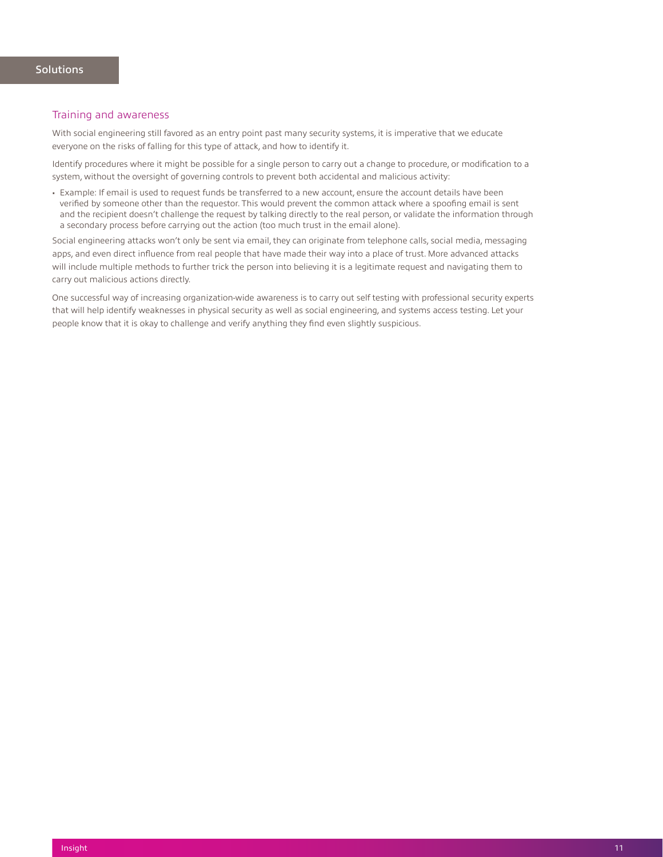#### Training and awareness

With social engineering still favored as an entry point past many security systems, it is imperative that we educate everyone on the risks of falling for this type of attack, and how to identify it.

Identify procedures where it might be possible for a single person to carry out a change to procedure, or modification to a system, without the oversight of governing controls to prevent both accidental and malicious activity:

• Example: If email is used to request funds be transferred to a new account, ensure the account details have been verified by someone other than the requestor. This would prevent the common attack where a spoofing email is sent and the recipient doesn't challenge the request by talking directly to the real person, or validate the information through a secondary process before carrying out the action (too much trust in the email alone).

Social engineering attacks won't only be sent via email, they can originate from telephone calls, social media, messaging apps, and even direct influence from real people that have made their way into a place of trust. More advanced attacks will include multiple methods to further trick the person into believing it is a legitimate request and navigating them to carry out malicious actions directly.

One successful way of increasing organization-wide awareness is to carry out self testing with professional security experts that will help identify weaknesses in physical security as well as social engineering, and systems access testing. Let your people know that it is okay to challenge and verify anything they find even slightly suspicious.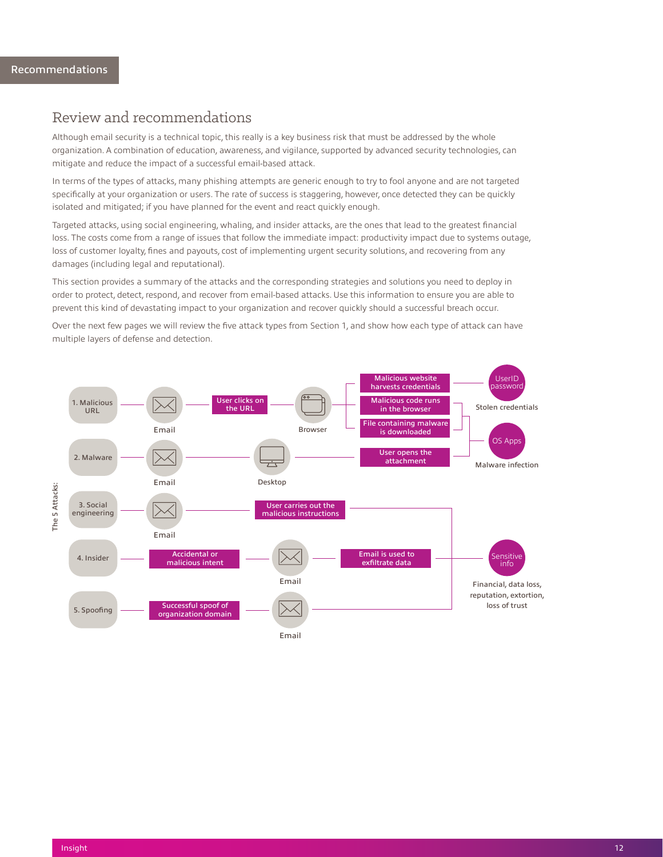### <span id="page-12-0"></span>Review and recommendations

Although email security is a technical topic, this really is a key business risk that must be addressed by the whole organization. A combination of education, awareness, and vigilance, supported by advanced security technologies, can mitigate and reduce the impact of a successful email-based attack.

In terms of the types of attacks, many phishing attempts are generic enough to try to fool anyone and are not targeted specifically at your organization or users. The rate of success is staggering, however, once detected they can be quickly isolated and mitigated; if you have planned for the event and react quickly enough.

Targeted attacks, using social engineering, whaling, and insider attacks, are the ones that lead to the greatest financial loss. The costs come from a range of issues that follow the immediate impact: productivity impact due to systems outage, loss of customer loyalty, fines and payouts, cost of implementing urgent security solutions, and recovering from any damages (including legal and reputational).

This section provides a summary of the attacks and the corresponding strategies and solutions you need to deploy in order to protect, detect, respond, and recover from email-based attacks. Use this information to ensure you are able to prevent this kind of devastating impact to your organization and recover quickly should a successful breach occur.

Over the next few pages we will review the five attack types from Section 1, and show how each type of attack can have multiple layers of defense and detection.

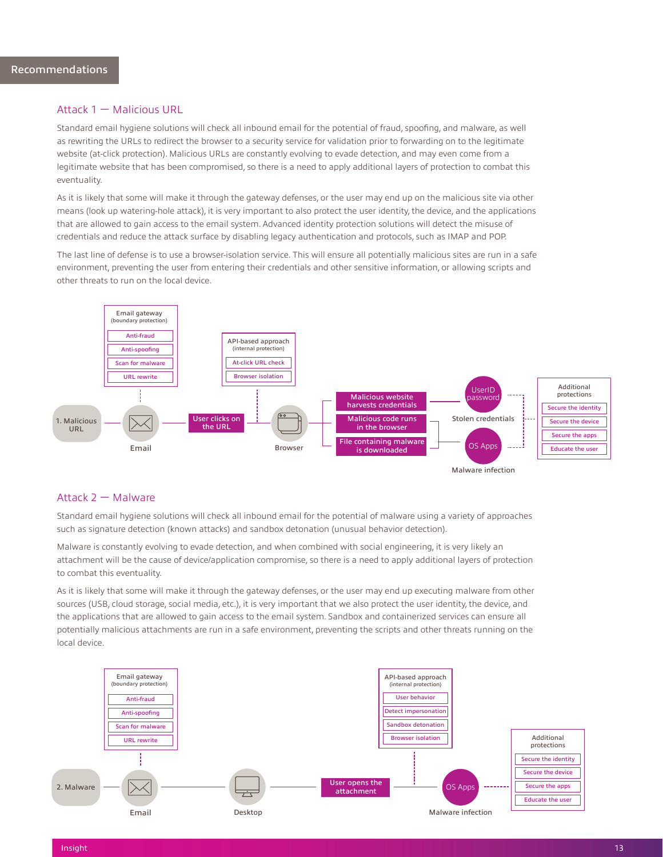#### Attack 1 — Malicious URL

Standard email hygiene solutions will check all inbound email for the potential of fraud, spoofing, and malware, as well as rewriting the URLs to redirect the browser to a security service for validation prior to forwarding on to the legitimate website (at-click protection). Malicious URLs are constantly evolving to evade detection, and may even come from a legitimate website that has been compromised, so there is a need to apply additional layers of protection to combat this eventuality.

As it is likely that some will make it through the gateway defenses, or the user may end up on the malicious site via other means (look up watering-hole attack), it is very important to also protect the user identity, the device, and the applications that are allowed to gain access to the email system. Advanced identity protection solutions will detect the misuse of credentials and reduce the attack surface by disabling legacy authentication and protocols, such as IMAP and POP.

The last line of defense is to use a browser-isolation service. This will ensure all potentially malicious sites are run in a safe environment, preventing the user from entering their credentials and other sensitive information, or allowing scripts and other threats to run on the local device.



#### Attack 2 — Malware

Standard email hygiene solutions will check all inbound email for the potential of malware using a variety of approaches such as signature detection (known attacks) and sandbox detonation (unusual behavior detection).

Malware is constantly evolving to evade detection, and when combined with social engineering, it is very likely an attachment will be the cause of device/application compromise, so there is a need to apply additional layers of protection to combat this eventuality.

As it is likely that some will make it through the gateway defenses, or the user may end up executing malware from other sources (USB, cloud storage, social media, etc.), it is very important that we also protect the user identity, the device, and the applications that are allowed to gain access to the email system. Sandbox and containerized services can ensure all potentially malicious attachments are run in a safe environment, preventing the scripts and other threats running on the local device.

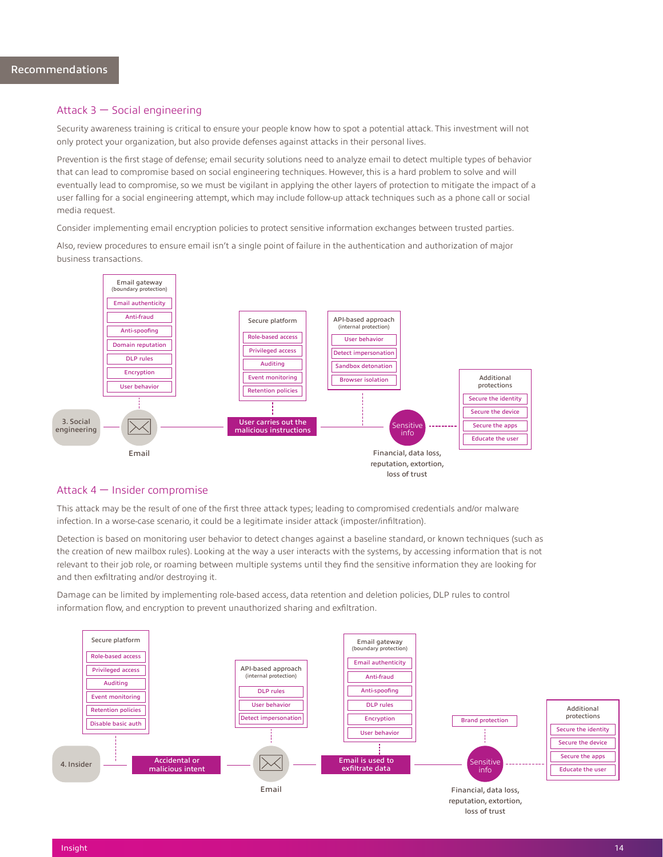#### Attack 3 — Social engineering

Security awareness training is critical to ensure your people know how to spot a potential attack. This investment will not only protect your organization, but also provide defenses against attacks in their personal lives.

Prevention is the first stage of defense; email security solutions need to analyze email to detect multiple types of behavior that can lead to compromise based on social engineering techniques. However, this is a hard problem to solve and will eventually lead to compromise, so we must be vigilant in applying the other layers of protection to mitigate the impact of a user falling for a social engineering attempt, which may include follow-up attack techniques such as a phone call or social media request.

Consider implementing email encryption policies to protect sensitive information exchanges between trusted parties.

Also, review procedures to ensure email isn't a single point of failure in the authentication and authorization of major business transactions.



#### Attack 4 — Insider compromise

This attack may be the result of one of the first three attack types; leading to compromised credentials and/or malware infection. In a worse-case scenario, it could be a legitimate insider attack (imposter/infiltration).

Detection is based on monitoring user behavior to detect changes against a baseline standard, or known techniques (such as the creation of new mailbox rules). Looking at the way a user interacts with the systems, by accessing information that is not relevant to their job role, or roaming between multiple systems until they find the sensitive information they are looking for and then exfiltrating and/or destroying it.

Damage can be limited by implementing role-based access, data retention and deletion policies, DLP rules to control information flow, and encryption to prevent unauthorized sharing and exfiltration.

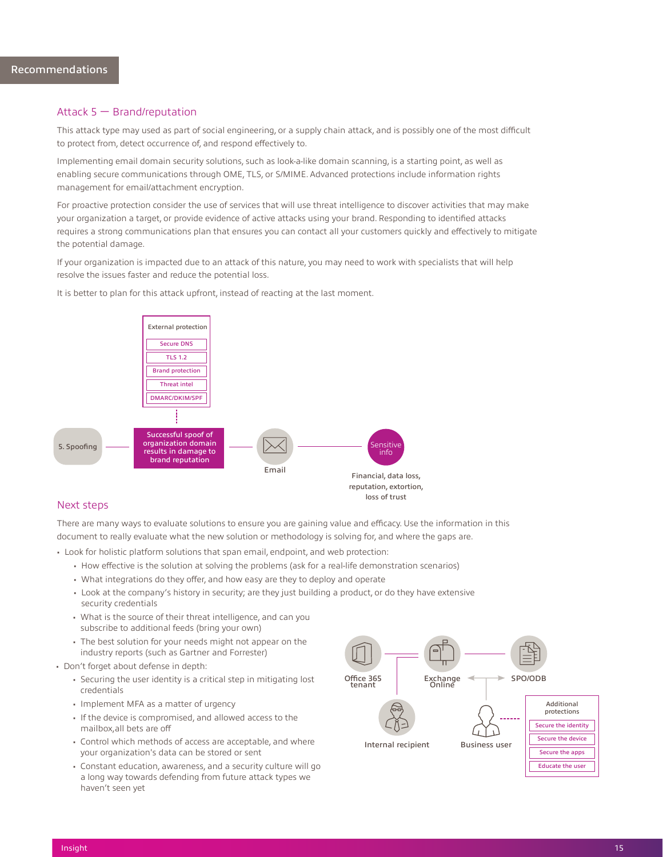#### Attack 5 — Brand/reputation

This attack type may used as part of social engineering, or a supply chain attack, and is possibly one of the most difficult to protect from, detect occurrence of, and respond effectively to.

Implementing email domain security solutions, such as look-a-like domain scanning, is a starting point, as well as enabling secure communications through OME, TLS, or S/MIME. Advanced protections include information rights management for email/attachment encryption.

For proactive protection consider the use of services that will use threat intelligence to discover activities that may make your organization a target, or provide evidence of active attacks using your brand. Responding to identified attacks requires a strong communications plan that ensures you can contact all your customers quickly and effectively to mitigate the potential damage.

If your organization is impacted due to an attack of this nature, you may need to work with specialists that will help resolve the issues faster and reduce the potential loss.



It is better to plan for this attack upfront, instead of reacting at the last moment.

#### Next steps

There are many ways to evaluate solutions to ensure you are gaining value and efficacy. Use the information in this document to really evaluate what the new solution or methodology is solving for, and where the gaps are.

• Look for holistic platform solutions that span email, endpoint, and web protection:

- How effective is the solution at solving the problems (ask for a real-life demonstration scenarios)
- What integrations do they offer, and how easy are they to deploy and operate
- Look at the company's history in security; are they just building a product, or do they have extensive security credentials
- What is the source of their threat intelligence, and can you subscribe to additional feeds (bring your own)
- The best solution for your needs might not appear on the industry reports (such as Gartner and Forrester)
- Don't forget about defense in depth:
	- Securing the user identity is a critical step in mitigating lost credentials
	- Implement MFA as a matter of urgency
	- If the device is compromised, and allowed access to the mailbox,all bets are off
	- Control which methods of access are acceptable, and where your organization's data can be stored or sent
	- Constant education, awareness, and a security culture will go a long way towards defending from future attack types we haven't seen yet